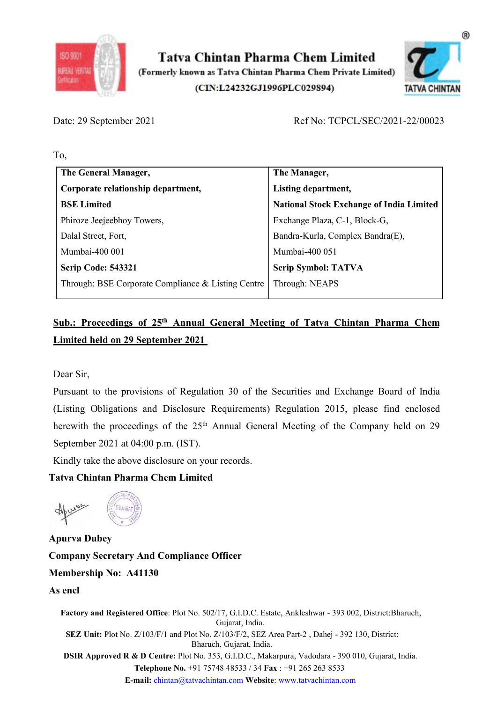

SO 9001<br>
BURBU UGRIS<br>
Cornerly known as Tatva Chintan Pharma Chem Private Limited<br>
(CIN:L24232GJ1996PLC029894)<br>
Ref No: TCPCL/SEC/2021-22/00023<br>
To,<br>
The General Manager,<br>
The Manager,<br>
The Manager,



| Date: 29 September 2021                  |                                                                                                   |                                                 |  |
|------------------------------------------|---------------------------------------------------------------------------------------------------|-------------------------------------------------|--|
|                                          |                                                                                                   | Ref No: TCPCL/SEC/2021-22/00023                 |  |
| To,                                      |                                                                                                   |                                                 |  |
| The General Manager,                     |                                                                                                   | The Manager,                                    |  |
| Corporate relationship department,       |                                                                                                   | Listing department,                             |  |
| <b>BSE</b> Limited                       |                                                                                                   | <b>National Stock Exchange of India Limited</b> |  |
| Phiroze Jeejeebhoy Towers,               |                                                                                                   | Exchange Plaza, C-1, Block-G,                   |  |
| Dalal Street, Fort,                      |                                                                                                   | Bandra-Kurla, Complex Bandra(E),                |  |
| Mumbai-400 001                           |                                                                                                   | Mumbai-400 051                                  |  |
| <b>Scrip Code: 543321</b>                |                                                                                                   | <b>Scrip Symbol: TATVA</b>                      |  |
|                                          | Through: BSE Corporate Compliance & Listing Centre                                                | Through: NEAPS                                  |  |
| <b>Limited held on 29 September 2021</b> | Sub.: Proceedings of 25 <sup>th</sup> Annual General Meeting of Tatva Chintan Pharma Chem         |                                                 |  |
| Dear Sir,                                |                                                                                                   |                                                 |  |
|                                          | Pursuant to the provisions of Regulation 30 of the Securities and Exchange Board of India         |                                                 |  |
|                                          | (Listing Obligations and Disclosure Requirements) Regulation 2015, please find enclosed           |                                                 |  |
|                                          | herewith the proceedings of the 25 <sup>th</sup> Annual General Meeting of the Company held on 29 |                                                 |  |
| September 2021 at 04:00 p.m. (IST).      |                                                                                                   |                                                 |  |
|                                          | Kindly take the above disclosure on your records.                                                 |                                                 |  |
| <b>Tatva Chintan Pharma Chem Limited</b> |                                                                                                   |                                                 |  |
|                                          |                                                                                                   |                                                 |  |

Mumbai-400 001<br>
Serip Code: 543321<br>
Through: BSE Corporate Compliance & Listing Central Meeting of Tatva Chintan Pharma Chem<br>
Sub.: Proceedings of 25<sup>th</sup> Annual General Meeting of Tatva Chintan Pharma Chem<br>
Limited held on Scrip Code: 543321<br>
Through: BSE Corporate Compliance & Listing Centre<br>
Through: NEAPS<br>
Sub.: Proceedings of 25<sup>th</sup> Annual General Meeting of Tatva Chintan Pharma Chem<br>
Limited held on 29 September 2021<br>
Dear Sir,<br>
Pursua **Sub.: Froceedings of 25**<sup>th</sup> Almuan General Meeting of Tatva Chin<br>
Limited held on 29 September 2021<br>
Dear Sir,<br>
Pursuant to the provisions of Regulation 30 of the Securities and Excha<br>
(Listing Obligations and Disclosur Dear Sir,<br>
Dear Sir,<br>
Pursuant to the provisions of Regulation 30 of the Sceurities and Exchange Board of India<br>
(Listing Obligations and Disclosure Requirements) Regulation 2015, please find enclosed<br>
herewith the proceed Dear Sir,<br>
Pursuant to the provisions of Regulation 30 of the Securities and Exchange Board<br>
(Listing Obligations and Disclosure Requirements) Regulation 2015, please find<br>
herewith the proceedings of the 25<sup>th</sup> Annual Gen Dear Sir,<br>
Pursuant to the provisions of Regulation 30 of the Securities and <br>
(Listing Obligations and Disclosure Requirements) Regulation 20<br>
herewith the proceedings of the 25<sup>th</sup> Annual General Meeting of t<br>
September

Factory and Registered Office: Plot No. 502/17, G.I.D.C. Factor, Ankleshwar - 393 002, District: Bharuch, Company between Company between Company Correlations of the Company correlation of the above disclosure on your reco lequirements) Regulation 2015, please find enclosed<br>
Annual General Mecting of the Company held on 29<br>
records.<br>
Officer<br>
The creation of the Company held on 29<br>
Officer<br>
Claparat, India.<br>
Gujarat, India.<br>
J. Gujarat, Indi ewith the proceedings of the 25<sup>th</sup> Annual General Meeting of the Company held on 29<br>
stember 2021 at 04:00 p.m. (IST).<br>
Idly take the above disclosure on your records.<br> **ACCOMECARY Area Participal Complement Constant Phar** 2.7 – Almuar Generar Meeting of the Company herd on 2.7<br>
T).<br>
IT).<br>
IT).<br>
IT).<br>
IT).<br>
IT).<br>
IT).<br>
ITE:<br>
Gujarat, India.<br>
Gujarat, India.<br>
Gujarat, India.<br>
Gujarat, India.<br>
The Sex Area Part-2, Dahej - 392 130, District:<br>
B ptember 2021 at 04:00 p.m. (IST).<br>
May take the above disclosure on your records.<br>
Way Chintan Pharma Chem Limited<br>
Way Theorem Compliance Officer<br>
May Secretary And Compliance Officer<br>
Marsh Pharmas Secretary and Register re disclosure on your records.<br> **And Compliance Officer**<br> **And Compliance Officer**<br> **41130**<br> **ed Office**: Plot No. 502/17, G.I.D.C. Estate, Ankleshwar - 393 002, District:Bharuch,<br>
Coujarat, India.<br>
7/103/F/1 and Plot No. E-mail: chintan@tatvachintan.com Website: www.tatvachintan.com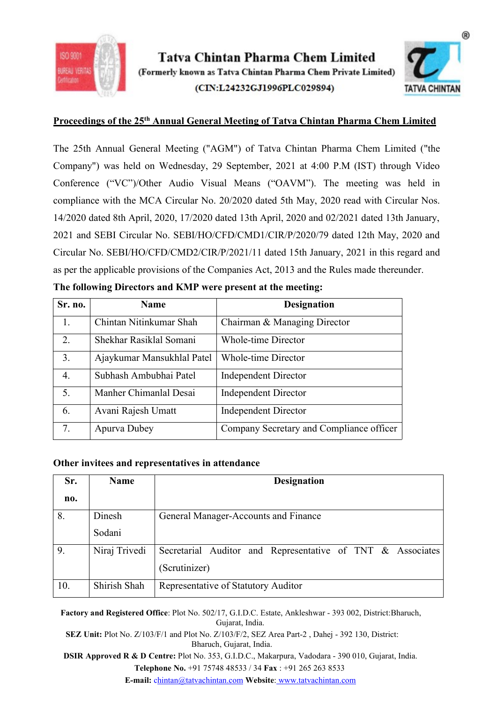



**PROSUMERTS (Formerly known as Tatva Chintan Pharma Chem Limited (CIN:L24232GJ1996PLCO29894)**<br>Proceedings of the 25<sup>th</sup> Annual General Meeting of Tatva Chintan Pharma Chem Limited<br>The 25th Annual General Meeting ("AGM") of Tatva Chintan Pharma Chem Limited<br>
(Formerly known as Tatva Chintan Pharma Chem Private Limited)<br>
(CIN:L24232GJ1996PLC029894)<br>
Proceedings of the 25<sup>th</sup> Annual General Meeting of Tatva Chintan Pharma Chem Limited<br>
The 25th Tatva Chintan Pharma Chem Limited<br>
(Comerly known as Tatva Chintan Pharma Chem Private Limited<br>
(CIN:L24232GJ1996PLC029894)<br>
TATVA CHINTAN<br>
Proceedings of the 25<sup>th</sup> Annual General Meeting of Tatva Chintan Pharma Chem Limi Tatva Chintan Pharma Chem Limited<br>
(CIN:L24232GJ1996PLC029894)<br>
(CIN:L24232GJ1996PLC029894)<br>
(CIN:L24232GJ1996PLC029894)<br>
Proceedings of the 25<sup>th</sup> Annual General Meeting of Tatva Chintan Pharma Chem Limited<br>
The 25th Annu COMPRESSIGNT TREAT CHINE ARE COMPRESSIONS (CIRCLENDIGED PRESSIONS)<br>
(CIRCLEND ARE PART OF PART ACTION PART ARE PART ACTION OF THE SCHOOL CONSULTING CHINE PROCEEDING THE SCHOOL CONSULTING CHINE CONTAIN THE COMPARY") was hel 1920 (Formerly known as Tatva Chintan Pharma Chem Limited<br>
(CIN:L24232GJ1996PLC029894)<br>
(CIN:L24232GJ1996PLC029894)<br>
(CIN:L24232GJ1996PLC029894)<br>
TATVA CHINTAN<br>
Proceedings of the 25<sup>th</sup> Annual General Meeting of Tatva Chi **20201 Example 12th Constant Chains are Chain and SEBI Circular No. SEBI/HO/CFD/CMD2021/11 dated 15th January, 2021 and SEBI Circular No. SEBI/HO/CFD/CMD1/CIR/P/2021/11 dated 15th January, 2021 and SEBI Circular No. SEBI** Tatva Chintan Pharma Chem Limited<br>
(Formerly known as Tatva Chintan Pharma Chem Private Limited)<br>
(CIN:L24232GJ1996PLC029894)<br>
TATVA CHINTAN<br>
Proceedings of the 25<sup>th</sup> Annual General Meeting ("AGM") of Tatva Chintan Pharma **assumed as Franch Companying Companies Activities (Formerly known as Tatva Chintan Pharma Chem Private Limited (CDN:124232GJ1996PLC029894) TATVA CHINTAN Proceedings of the 25<sup>th</sup> Annual General Meeting of Tatva Chintan P** (Formerly known as 1 atva Chintan Pharma Chem Private Limited)<br>
(CIN:L24232GJ1996PLC029894) TATVA CHINTAN<br>
Proceedings of the 25<sup>th</sup> Annual General Meeting of Tatva Chintan Pharma Chem Limited<br>
The 25th Annual General Meet Troceedings of the 25<sup>th</sup> Annual General Meeting of Tatva Chintan Pharma Chem Limited<br>
The 25th Annual General Meeting ("AGM") of Tatva Chintan Pharma Chem Limited ("the<br>
Company") was held on Wednesday, 29 September, 2021 1. Chintan Nitinkumar Shah Chairman & Managing Director 2. Shekhar Rasiklal Somani Maria Charletting The Chinan Pharma Chem Limited ("the mapany") was held on Wednesday, 29 September, 2021 at 4:00 P.M (IST) through Video<br>
inference ("VC")'Other Audio Visual Means ("OAVM"). The e 25th Annual General Meeting ("AGM") of Tatva Chintan Pharma Chem Limited ("the<br>myany") was held on Wednesday, 29 September, 2021 at 4:00 P.M (IST) through Video<br>inference ("VC")/Other Audio Visual Means ("OAVM"). The mee

|  |  |  |  | The following Directors and KMP were present at the meeting: |
|--|--|--|--|--------------------------------------------------------------|
|  |  |  |  |                                                              |

|         |                                                  |                            | Company") was held on Wednesday, 29 September, 2021 at 4:00 P.M (IST) through Video           |  |
|---------|--------------------------------------------------|----------------------------|-----------------------------------------------------------------------------------------------|--|
|         |                                                  |                            | Conference ("VC")/Other Audio Visual Means ("OAVM"). The meeting was held in                  |  |
|         |                                                  |                            | compliance with the MCA Circular No. 20/2020 dated 5th May, 2020 read with Circular Nos.      |  |
|         |                                                  |                            | 14/2020 dated 8th April, 2020, 17/2020 dated 13th April, 2020 and 02/2021 dated 13th January, |  |
|         |                                                  |                            | 2021 and SEBI Circular No. SEBI/HO/CFD/CMD1/CIR/P/2020/79 dated 12th May, 2020 and            |  |
|         |                                                  |                            | Circular No. SEBI/HO/CFD/CMD2/CIR/P/2021/11 dated 15th January, 2021 in this regard and       |  |
|         |                                                  |                            | as per the applicable provisions of the Companies Act, 2013 and the Rules made thereunder.    |  |
|         |                                                  |                            | The following Directors and KMP were present at the meeting:                                  |  |
| Sr. no. |                                                  | <b>Name</b>                | <b>Designation</b>                                                                            |  |
| 1.      | Chintan Nitinkumar Shah                          |                            | Chairman & Managing Director                                                                  |  |
| 2.      | Shekhar Rasiklal Somani                          |                            | <b>Whole-time Director</b>                                                                    |  |
| 3.      |                                                  | Ajaykumar Mansukhlal Patel | <b>Whole-time Director</b>                                                                    |  |
| 4.      | Subhash Ambubhai Patel                           |                            | <b>Independent Director</b>                                                                   |  |
| 5.      | Manher Chimanlal Desai                           |                            | <b>Independent Director</b>                                                                   |  |
| 6.      | Avani Rajesh Umatt                               |                            | <b>Independent Director</b>                                                                   |  |
| 7.      | Apurva Dubey                                     |                            | Company Secretary and Compliance officer                                                      |  |
|         |                                                  |                            |                                                                                               |  |
|         | Other invitees and representatives in attendance |                            |                                                                                               |  |
| Sr.     | <b>Name</b>                                      |                            | <b>Designation</b>                                                                            |  |
| no.     |                                                  |                            |                                                                                               |  |
| 8.      | Dinesh                                           |                            | General Manager-Accounts and Finance                                                          |  |
|         | Sodani                                           |                            |                                                                                               |  |
| 9.      | Niraj Trivedi                                    |                            | Secretarial Auditor and Representative of TNT & Associates                                    |  |
|         |                                                  | (Scrutinizer)              |                                                                                               |  |

| 3.<br><b>Whole-time Director</b><br>Ajaykumar Mansukhlal Patel<br>Subhash Ambubhai Patel<br><b>Independent Director</b><br>4.<br>Manher Chimanlal Desai<br>5.<br><b>Independent Director</b><br>Avani Rajesh Umatt<br><b>Independent Director</b><br>6.<br>Company Secretary and Compliance officer<br>7.<br>Apurva Dubey<br><b>Name</b><br><b>Designation</b><br>Sr.<br>no.<br>8.<br>Dinesh<br>General Manager-Accounts and Finance<br>Sodani<br>9.<br>Niraj Trivedi<br>Secretarial Auditor and Representative of TNT & Associates<br>(Scrutinizer)<br>Shirish Shah<br>10.<br>Representative of Statutory Auditor<br>Factory and Registered Office: Plot No. 502/17, G.I.D.C. Estate, Ankleshwar - 393 002, District: Bharuch,<br>Gujarat, India.<br>SEZ Unit: Plot No. Z/103/F/1 and Plot No. Z/103/F/2, SEZ Area Part-2, Dahej - 392 130, District:<br>Bharuch, Gujarat, India.<br>DSIR Approved R & D Centre: Plot No. 353, G.I.D.C., Makarpura, Vadodara - 390 010, Gujarat, India.<br>Telephone No. +91 75748 48533 / 34 Fax : +91 265 263 8533<br>E-mail: chintan@tatvachintan.com Website: www.tatvachintan.com | Other invitees and representatives in attendance | 2. | Shekhar Rasiklal Somani | <b>Whole-time Director</b> |  |
|-------------------------------------------------------------------------------------------------------------------------------------------------------------------------------------------------------------------------------------------------------------------------------------------------------------------------------------------------------------------------------------------------------------------------------------------------------------------------------------------------------------------------------------------------------------------------------------------------------------------------------------------------------------------------------------------------------------------------------------------------------------------------------------------------------------------------------------------------------------------------------------------------------------------------------------------------------------------------------------------------------------------------------------------------------------------------------------------------------------------------|--------------------------------------------------|----|-------------------------|----------------------------|--|
|                                                                                                                                                                                                                                                                                                                                                                                                                                                                                                                                                                                                                                                                                                                                                                                                                                                                                                                                                                                                                                                                                                                         |                                                  |    |                         |                            |  |
|                                                                                                                                                                                                                                                                                                                                                                                                                                                                                                                                                                                                                                                                                                                                                                                                                                                                                                                                                                                                                                                                                                                         |                                                  |    |                         |                            |  |
|                                                                                                                                                                                                                                                                                                                                                                                                                                                                                                                                                                                                                                                                                                                                                                                                                                                                                                                                                                                                                                                                                                                         |                                                  |    |                         |                            |  |
|                                                                                                                                                                                                                                                                                                                                                                                                                                                                                                                                                                                                                                                                                                                                                                                                                                                                                                                                                                                                                                                                                                                         |                                                  |    |                         |                            |  |
|                                                                                                                                                                                                                                                                                                                                                                                                                                                                                                                                                                                                                                                                                                                                                                                                                                                                                                                                                                                                                                                                                                                         |                                                  |    |                         |                            |  |
|                                                                                                                                                                                                                                                                                                                                                                                                                                                                                                                                                                                                                                                                                                                                                                                                                                                                                                                                                                                                                                                                                                                         |                                                  |    |                         |                            |  |
|                                                                                                                                                                                                                                                                                                                                                                                                                                                                                                                                                                                                                                                                                                                                                                                                                                                                                                                                                                                                                                                                                                                         |                                                  |    |                         |                            |  |
|                                                                                                                                                                                                                                                                                                                                                                                                                                                                                                                                                                                                                                                                                                                                                                                                                                                                                                                                                                                                                                                                                                                         |                                                  |    |                         |                            |  |
|                                                                                                                                                                                                                                                                                                                                                                                                                                                                                                                                                                                                                                                                                                                                                                                                                                                                                                                                                                                                                                                                                                                         |                                                  |    |                         |                            |  |
|                                                                                                                                                                                                                                                                                                                                                                                                                                                                                                                                                                                                                                                                                                                                                                                                                                                                                                                                                                                                                                                                                                                         |                                                  |    |                         |                            |  |
|                                                                                                                                                                                                                                                                                                                                                                                                                                                                                                                                                                                                                                                                                                                                                                                                                                                                                                                                                                                                                                                                                                                         |                                                  |    |                         |                            |  |
|                                                                                                                                                                                                                                                                                                                                                                                                                                                                                                                                                                                                                                                                                                                                                                                                                                                                                                                                                                                                                                                                                                                         |                                                  |    |                         |                            |  |
|                                                                                                                                                                                                                                                                                                                                                                                                                                                                                                                                                                                                                                                                                                                                                                                                                                                                                                                                                                                                                                                                                                                         |                                                  |    |                         |                            |  |
|                                                                                                                                                                                                                                                                                                                                                                                                                                                                                                                                                                                                                                                                                                                                                                                                                                                                                                                                                                                                                                                                                                                         |                                                  |    |                         |                            |  |
|                                                                                                                                                                                                                                                                                                                                                                                                                                                                                                                                                                                                                                                                                                                                                                                                                                                                                                                                                                                                                                                                                                                         |                                                  |    |                         |                            |  |
|                                                                                                                                                                                                                                                                                                                                                                                                                                                                                                                                                                                                                                                                                                                                                                                                                                                                                                                                                                                                                                                                                                                         |                                                  |    |                         |                            |  |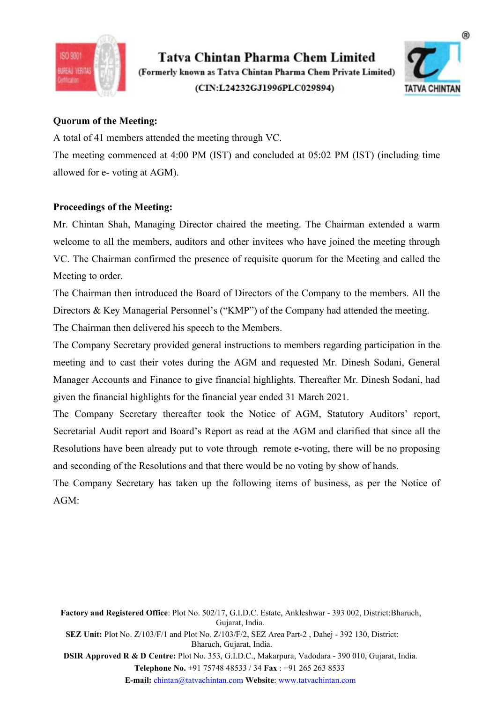

SO 9001<br> **Example 30 Control Control Control Control Control Control Control Control Control (Formerly known as Tatva Chintan Pharma Chem Private Limited<br>
Control Control (CIN:L24232GJ1996PLC029894)<br>
Quorum of the Meeting:** A total of 41 members attended the meeting through VC.<br>
A total of 41 members attended the meeting through VC.<br>
The meeting commenced at 4:00 PM (IST) and concluded at 05:02 PM (IST) (including time<br>
allowed for e- voting Tatva Chintan Pharma Chem Limited<br>
(Formerly known as Tatva Chintan Pharma Chem Private Limited)<br>
(CIN:L24232GJ1996PLC029894)<br>
(CIN:L24232GJ1996PLC029894)<br>
TATVA CHINTAN<br>
Quorum of the Meeting:<br>
A total of 41 members atten **allowed for e- voting at AGM).**<br> **Allowed for e- voting at AGM)**<br> **Allowed for e- voting at AGM).**<br> **Allowed for e- voting at AGM).**<br> **Proceedings of the Meeting:**<br> **Allowed for e- voting at AGM).**<br> **Proceedings of the Me** 



**Example 18 Tatva Chintan Pharma Chem Limited**<br>
(Formerly known as Tatva Chintan Pharma Chem Private Limited)<br>
(CIN:L24232GJ1996PLC029894)<br>
Quorum of the Meeting:<br>
A total of 41 members attended the meeting through VC.<br>
Th Mr. Chintan Shah, Managing Director chairds the meeting. The Chairman extended a warm<br>We can be meeting the meeting ommenced at 4:00 PM (IST) and concluded at 05:02 PM (IST) (including time<br>allowed for e- voting at AGM).<br>T **EXECUTE:**<br>
Welcome to all the members and the metric and other members and other members. A total of 41 members attended the meeting through VC.<br>
The meeting commenced at 4:00 PM (IST) and concluded at 05:02 PM (IST) (inc VECAL THE Chairman the introduced the Board of Directors of the Company that the meeting.<br>
The Chairman confirmed the meeting:<br>
A total of 41 members attended the meeting through VC.<br>
The meeting commenced at 4:00 PM (IST) THEN CRIMINAL CHAIRMAL CHAIRMA CHAIRMA CHAIRMA CHAIRMA CHAIRMA CHAIRMA CHAIRMA CHAIRMA CHAIRMA CHAIRMA CHAIRMA CHAIRMA CHAIRMA CHAIRMA CHAIRMA CHAIRMA CHAIRMA CHAIRMA CHAIRMA CHAIRMA CHAIRMA CHAIRMA CHAIRMA CHAIRMA (CIN:L2 (CIN:L24232GJ1996PLC029894)<br>
(CIN:L24232GJ1996PLC029894)<br>
TATVA CHINTAN<br>
Quorum of the Meeting:<br>
A total of 41 members attended the meeting through VC.<br>
The mecting commenced at 4:00 PM (IST) and concluded at 05:02 PM (IST Quorum of the Meeting:<br>
A total of 41 members attended the meeting through VC.<br>
The meeting commenced at 4:00 PM (IST) and concluded at 05:02 PM (IST) (including time<br>
allowed for c- voting at AGM).<br>
Proceedings of the Mee Quorum of the Mecting:<br>
A total of 41 members attended the meeting through VC.<br>
The mecting commeneed at 4:00 PM (IST) and concluded at 05:02 PM (IST) (including time<br>
allowed for e- voting at AGM).<br>
Proceedings of the Mee A total of 41 members attended the meeting through VC.<br>The meeting commenced at 4:00 PM (IST) and concluded at 05:02 PM (IST) (including time<br>allowed for c- voting at AGM).<br>Proceedings of the Meeting:<br>Mr. Chintan Shah, Man The meeting commenced at 4:00 PM (IST) and concluded at 05:02 PM (IST) (including time<br>allowed for e- voting at AGM).<br> **Proceedings of the Meeting:**<br>
Mr. Chintan Shah, Managing Director chaired the meeting. The Chairman ex allowed for e- voting at AGM).<br> **Proceedings of the Meeting:**<br>
Mr. Chintan Shah, Managing Director chaired the meeting. The Chairman extended a warm<br>
welcome to all the members, auditors and other invitees who have joined **Proceedings of the Meeting:**<br>
Mr. Chintan Shah, Managing Director chaired the meeting. The Chairman extended a warm<br>
welcome to all the members, auditors and other invitees who have joined the meeting through<br>
VC. The Cha **Proceedings of the Meeting:**<br>
Mr. Chintan Shah, Managing Director chaired the meeting. The Chairman extended a warm<br>
welcome to all the members, auditors and other invitees who have joined the meeting through<br>
VC. The Cha Mr. Chintan Shah, Managing Director chaired the meeting. The Chairman extended a warm<br>welcome to all the members, auditors and other invitees who have joined the meeting through<br>VC. The Chairman confirmed the presence of r

welcome to all the members, auditors and other invitees who have joined the meeting through VC. The Chairman confirmed the presence of requisite quorum for the Meeting and called the Meeting to order.<br>The Chairman then int VC. The Chairman confirmed the presence of requisite quorum for the Meeting and called the Meeting to order.<br>The Chairman then introduced the Board of Directors of the Company to the members. All the Directors & Key Manage Mecting to order.<br>The Chairman then introduced the Board of Directors of the Company to the members. All the Directors & Key Managerial Personnel's ("KMP") of the Company had attended the meeting.<br>The Chairman then deliver

ven ine imanetal mgningns for the imanetal year ended 31 Maren 2021.<br>
he Company Secretary thereafter took the Notice of AGM, Statutory Auditors' report,<br>
escending of the Resolutions and Board's Report as read at the AGM

AGM:

ok the Notice of AGM, Statutory Auditors' report,<br>port as read at the AGM and clarified that since all the<br>te through remote e-voting, there will be no proposing<br>at there would be no voting by show of hands.<br>the following ertarial Audit report and Board's Report as read at the AGM and clarified that since all the<br>solutions have been already put to vote through remote e-voting, there will be no proposing<br>l seconding of the Resolutions and th <sup>1</sup>'s Report as read at the AGM and clarified that since all the<br>to vote through remote c-voting, there will be no proposing<br>and that there would be no voting by show of hands.<br>In up the following items of business, as per solutions have been already put to vote through remote e-voting, there will be no proposing<br>d seconding of the Resolutions and that there would be no voting by show of hands.<br>E. Company Secretary has taken up the following Examples and that there would be no voting by show of hands.<br>
Resolutions and that there would be no voting by show of hands.<br>
Etary has taken up the following items of business, as per the Notice of<br>
red **Office**: Plot No E-mail: chintan@tatvachintan.com Website: www.tatvachintan.com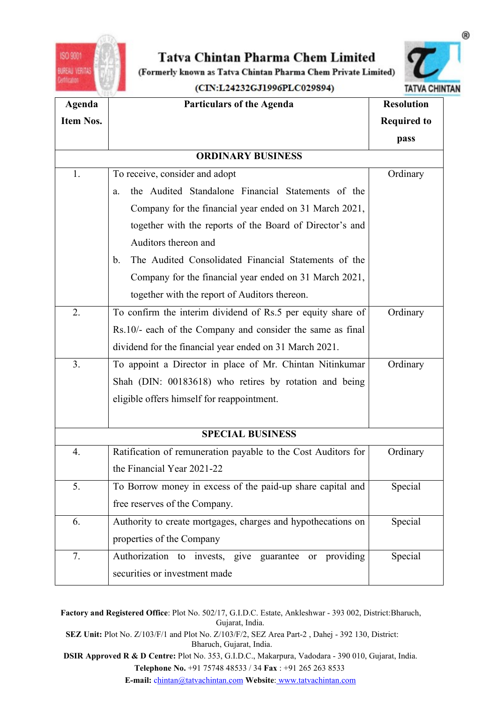



| ISO 9001         | Tatva Chintan Pharma Chem Limited                                                                                                                               |                      |
|------------------|-----------------------------------------------------------------------------------------------------------------------------------------------------------------|----------------------|
| UREAU VERITA     | (Formerly known as Tatva Chintan Pharma Chem Private Limited)                                                                                                   |                      |
|                  | (CIN:L24232GJ1996PLC029894)                                                                                                                                     | <b>TATVA CHINTAN</b> |
| Agenda           | <b>Particulars of the Agenda</b>                                                                                                                                | <b>Resolution</b>    |
| <b>Item Nos.</b> |                                                                                                                                                                 | <b>Required to</b>   |
|                  |                                                                                                                                                                 | pass                 |
|                  | <b>ORDINARY BUSINESS</b>                                                                                                                                        |                      |
| 1.               | To receive, consider and adopt                                                                                                                                  | Ordinary             |
|                  | the Audited Standalone Financial Statements of the<br>a.                                                                                                        |                      |
|                  | Company for the financial year ended on 31 March 2021,                                                                                                          |                      |
|                  | together with the reports of the Board of Director's and                                                                                                        |                      |
|                  | Auditors thereon and<br>The Audited Consolidated Financial Statements of the<br>b.                                                                              |                      |
|                  | Company for the financial year ended on 31 March 2021,                                                                                                          |                      |
|                  | together with the report of Auditors thereon.                                                                                                                   |                      |
| 2.               | To confirm the interim dividend of Rs.5 per equity share of                                                                                                     | Ordinary             |
|                  | Rs.10/- each of the Company and consider the same as final                                                                                                      |                      |
|                  | dividend for the financial year ended on 31 March 2021.                                                                                                         |                      |
| 3.               | To appoint a Director in place of Mr. Chintan Nitinkumar                                                                                                        | Ordinary             |
|                  | Shah (DIN: 00183618) who retires by rotation and being                                                                                                          |                      |
|                  | eligible offers himself for reappointment.                                                                                                                      |                      |
|                  |                                                                                                                                                                 |                      |
|                  | <b>SPECIAL BUSINESS</b>                                                                                                                                         |                      |
| 4.               | Ratification of remuneration payable to the Cost Auditors for                                                                                                   | Ordinary             |
|                  | the Financial Year 2021-22                                                                                                                                      |                      |
| 5.               | To Borrow money in excess of the paid-up share capital and                                                                                                      | Special              |
|                  | free reserves of the Company.                                                                                                                                   |                      |
| 6.               | Authority to create mortgages, charges and hypothecations on                                                                                                    | Special              |
|                  | properties of the Company                                                                                                                                       |                      |
| 7.               | Authorization to invests, give guarantee or providing                                                                                                           | Special              |
|                  | securities or investment made                                                                                                                                   |                      |
|                  |                                                                                                                                                                 |                      |
|                  | Factory and Registered Office: Plot No. 502/17, G.I.D.C. Estate, Ankleshwar - 393 002, District: Bharuch,                                                       |                      |
|                  | Gujarat, India.<br>SEZ Unit: Plot No. Z/103/F/1 and Plot No. Z/103/F/2, SEZ Area Part-2, Dahej - 392 130, District:                                             |                      |
|                  | Bharuch, Gujarat, India.                                                                                                                                        |                      |
|                  | DSIR Approved R & D Centre: Plot No. 353, G.I.D.C., Makarpura, Vadodara - 390 010, Gujarat, India.<br>Telephone No. +91 75748 48533 / 34 Fax : +91 265 263 8533 |                      |
|                  | E-mail: chintan@tatvachintan.com Website: www.tatvachintan.com                                                                                                  |                      |
|                  |                                                                                                                                                                 |                      |